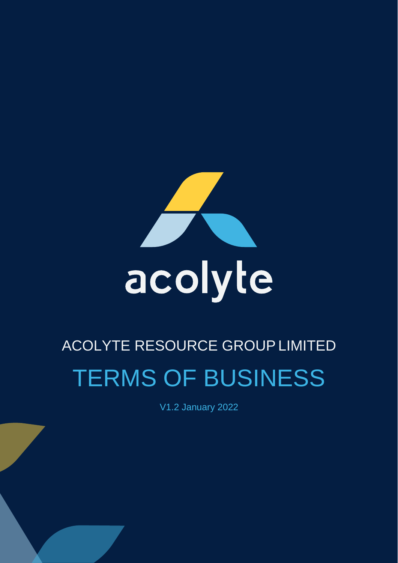

# ACOLYTE RESOURCE GROUPLIMITED TERMS OF BUSINESS

V1.2 January 2022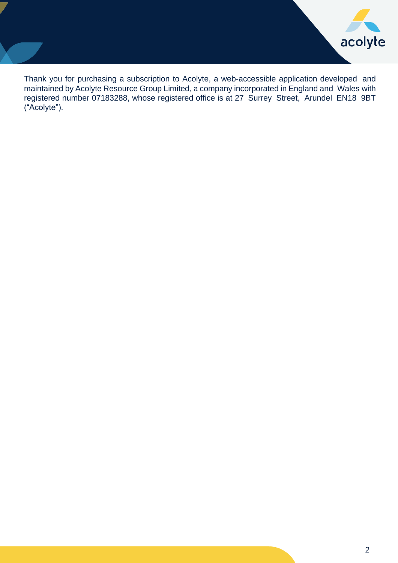

Thank you for purchasing a subscription to Acolyte, a web-accessible application developed and maintained by Acolyte Resource Group Limited, a company incorporated in England and Wales with registered number 07183288, whose registered office is at 27 Surrey Street, Arundel EN18 9BT ("Acolyte").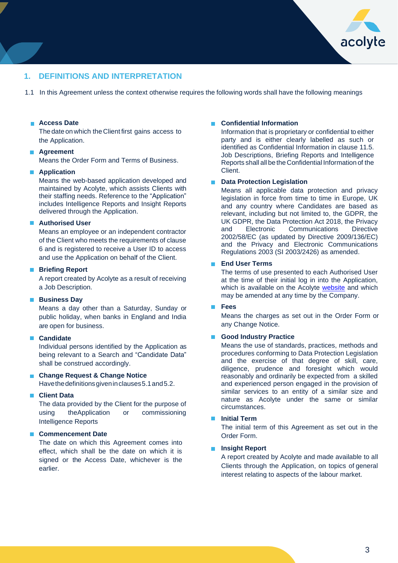

## **1. DEFINITIONS AND INTERPRETATION**

1.1 In this Agreement unless the context otherwise requires the following words shall have the following meanings

#### **Access Date**

The date on which the Client first gains access to the Application.

#### **Agreement**

Means the Order Form and Terms of Business.

#### **Application**

Means the web-based application developed and maintained by Acolyte, which assists Clients with their staffing needs. Reference to the "Application" includes Intelligence Reports and Insight Reports delivered through the Application.

#### **Authorised User**

Means an employee or an independent contractor of the Client who meets the requirements of clause 6 and is registered to receive a User ID to access and use the Application on behalf of the Client.

#### **Briefing Report**

A report created by Acolyte as a result of receiving a Job Description.

#### **Business Day**

Means a day other than a Saturday, Sunday or public holiday, when banks in England and India are open for business.

#### **Candidate**

Individual persons identified by the Application as being relevant to a Search and "Candidate Data" shall be construed accordingly.

#### **Change Request & Change Notice** Have the definitions given in clauses 5.1 and 5.2.

#### **Client Data**

The data provided by the Client for the purpose of using theApplication or commissioning Intelligence Reports

#### **Commencement Date**

The date on which this Agreement comes into effect, which shall be the date on which it is signed or the Access Date, whichever is the earlier.

#### **Confidential Information**

Information that is proprietary or confidential to either party and is either clearly labelled as such or identified as Confidential Information in clause 11.5. Job Descriptions, Briefing Reports and Intelligence Reports shall all be the Confidential Information of the Client.

#### $\blacksquare$ **Data Protection Legislation**

Means all applicable data protection and privacy legislation in force from time to time in Europe, UK and any country where Candidates are based as relevant, including but not limited to, the GDPR, the UK GDPR, the Data Protection Act 2018, the Privacy and Electronic Communications Directive 2002/58/EC (as updated by Directive 2009/136/EC) and the Privacy and Electronic Communications Regulations 2003 (SI 2003/2426) as amended.

#### **End User Terms**

The terms of use presented to each Authorised User at the time of their initial log in into the Application, which is available on the Acolyte [website](http://www.acolytegroup.co.uk/) and which may be amended at any time by the Company.

#### **Fees**  $\mathcal{L}$

Means the charges as set out in the Order Form or any Change Notice.

#### **Good Industry Practice**

Means the use of standards, practices, methods and procedures conforming to Data Protection Legislation and the exercise of that degree of skill, care, diligence, prudence and foresight which would reasonably and ordinarily be expected from a skilled and experienced person engaged in the provision of similar services to an entity of a similar size and nature as Acolyte under the same or similar circumstances.

#### **Initial Term**

The initial term of this Agreement as set out in the Order Form.

#### **Insight Report**

A report created by Acolyte and made available to all Clients through the Application, on topics of general interest relating to aspects of the labour market.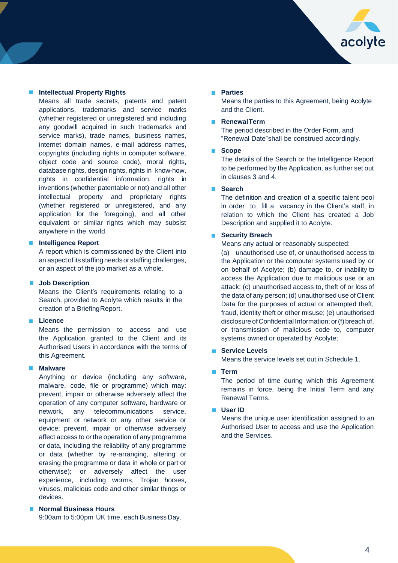

#### **Intellectual Property Rights**

Means all trade secrets, patents and patent applications, trademarks and service marks (whether registered or unregistered and including any goodwill acquired in such trademarks and service marks), trade names, business names, internet domain names, e-mail address names, copyrights (including rights in computer software, object code and source code), moral rights, database rights, design rights, rights in know-how, rights in confidential information, rights in inventions (whether patentable or not) and all other intellectual property and proprietary rights (whether registered or unregistered, and any application for the foregoing), and all other equivalent or similar rights which may subsist anywhere in the world.

#### **Intelligence Report**

A report which is commissioned by the Client into an aspect of its staffing needs or staffing challenges, or an aspect of the job market as a whole.

#### **Job Description**

Means the Client's requirements relating to a Search, provided to Acolyte which results in the creation of a BriefingReport.

#### **Licence**

Means the permission to access and use the Application granted to the Client and its Authorised Users in accordance with the terms of this Agreement.

#### **Malware**

Anything or device (including any software, malware, code, file or programme) which may: prevent, impair or otherwise adversely affect the operation of any computer software, hardware or network, any telecommunications service, equipment or network or any other service or device; prevent, impair or otherwise adversely affect access to or the operation of any programme or data, including the reliability of any programme or data (whether by re-arranging, altering or erasing the programme or data in whole or part or otherwise); or adversely affect the user experience, including worms, Trojan horses, viruses, malicious code and other similar things or devices.

## **Normal Business Hours**

9:00am to 5:00pm UK time, each Business Day.

#### **Parties**

Means the parties to this Agreement, being Acolyte and the Client.

#### **RenewalTerm**

The period described in the Order Form, and "Renewal Date"shall be construed accordingly.

#### **Scope**

The details of the Search or the Intelligence Report to be performed by the Application, as further set out in clauses 3 and 4.

### **Search**

The definition and creation of a specific talent pool in order to fill a vacancy in the Client's staff, in relation to which the Client has created a Job Description and supplied it to Acolyte.

#### **Security Breach**

Means any actual or reasonably suspected:

(a) unauthorised use of, or unauthorised access to the Application or the computer systems used by or on behalf of Acolyte; (b) damage to, or inability to access the Application due to malicious use or an attack; (c) unauthorised access to, theft of or loss of the data of any person; (d) unauthorised use of Client Data for the purposes of actual or attempted theft, fraud, identity theft or other misuse; (e) unauthorised disclosure of Confidential Information; or (f) breach of, or transmission of malicious code to, computer systems owned or operated by Acolyte;

#### **Service Levels**

Means the service levels set out in Schedule 1.

#### **Term**

The period of time during which this Agreement remains in force, being the Initial Term and any Renewal Terms.

#### **User ID**

Means the unique user identification assigned to an Authorised User to access and use the Application and the Services.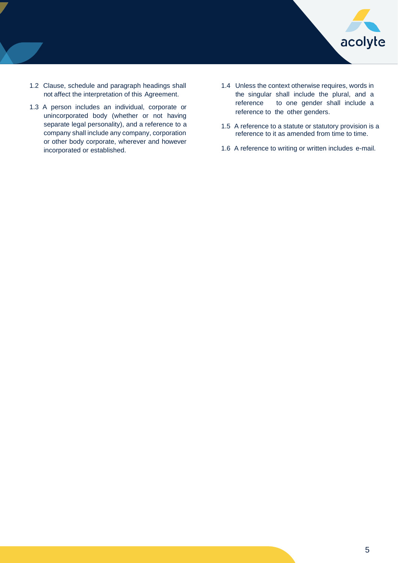

- 1.2 Clause, schedule and paragraph headings shall not affect the interpretation of this Agreement.
- 1.3 A person includes an individual, corporate or unincorporated body (whether or not having separate legal personality), and a reference to a company shall include any company, corporation or other body corporate, wherever and however incorporated or established.
- 1.4 Unless the context otherwise requires, words in the singular shall include the plural, and a reference to one gender shall include a reference to the other genders.
- 1.5 A reference to a statute or statutory provision is a reference to it as amended from time to time.
- 1.6 A reference to writing or written includes e-mail.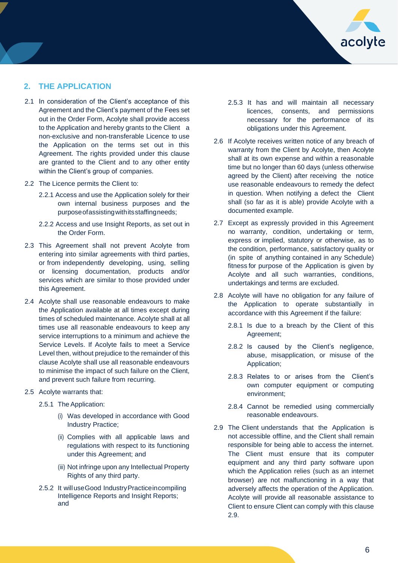

## **2. THE APPLICATION**

- 2.1 In consideration of the Client's acceptance of this Agreement and the Client's payment of the Fees set out in the Order Form, Acolyte shall provide access to the Application and hereby grants to the Client a non-exclusive and non-transferable Licence to use the Application on the terms set out in this Agreement. The rights provided under this clause are granted to the Client and to any other entity within the Client's group of companies.
- 2.2 The Licence permits the Client to:
	- 2.2.1 Access and use the Application solely for their own internal business purposes and the purposeofassistingwithitsstaffingneeds;
	- 2.2.2 Access and use Insight Reports, as set out in the Order Form.
- 2.3 This Agreement shall not prevent Acolyte from entering into similar agreements with third parties, or from independently developing, using, selling or licensing documentation, products and/or services which are similar to those provided under this Agreement.
- 2.4 Acolyte shall use reasonable endeavours to make the Application available at all times except during times of scheduled maintenance. Acolyte shall at all times use all reasonable endeavours to keep any service interruptions to a minimum and achieve the Service Levels. If Acolyte fails to meet a Service Level then, without prejudice to the remainder of this clause Acolyte shall use all reasonable endeavours to minimise the impact of such failure on the Client, and prevent such failure from recurring.
- 2.5 Acolyte warrants that:
	- 2.5.1 The Application:
		- (i) Was developed in accordance with Good Industry Practice;
		- (ii) Complies with all applicable laws and regulations with respect to its functioning under this Agreement; and
		- (iii) Not infringe upon any Intellectual Property Rights of any third party.
	- 2.5.2 It will useGood IndustryPracticeincompiling Intelligence Reports and Insight Reports; and
- 2.5.3 It has and will maintain all necessary licences, consents, and permissions necessary for the performance of its obligations under this Agreement.
- 2.6 If Acolyte receives written notice of any breach of warranty from the Client by Acolyte, then Acolyte shall at its own expense and within a reasonable time but no longer than 60 days (unless otherwise agreed by the Client) after receiving the notice use reasonable endeavours to remedy the defect in question. When notifying a defect the Client shall (so far as it is able) provide Acolyte with a documented example.
- 2.7 Except as expressly provided in this Agreement no warranty, condition, undertaking or term, express or implied, statutory or otherwise, as to the condition, performance, satisfactory quality or (in spite of anything contained in any Schedule) fitness for purpose of the Application is given by Acolyte and all such warranties, conditions, undertakings and terms are excluded.
- 2.8 Acolyte will have no obligation for any failure of the Application to operate substantially in accordance with this Agreement if the failure:
	- 2.8.1 Is due to a breach by the Client of this Agreement;
	- 2.8.2 Is caused by the Client's negligence, abuse, misapplication, or misuse of the Application;
	- 2.8.3 Relates to or arises from the Client's own computer equipment or computing environment;
	- 2.8.4 Cannot be remedied using commercially reasonable endeavours.
- 2.9 The Client understands that the Application is not accessible offline, and the Client shall remain responsible for being able to access the internet. The Client must ensure that its computer equipment and any third party software upon which the Application relies (such as an internet browser) are not malfunctioning in a way that adversely affects the operation of the Application. Acolyte will provide all reasonable assistance to Client to ensure Client can comply with this clause 2.9.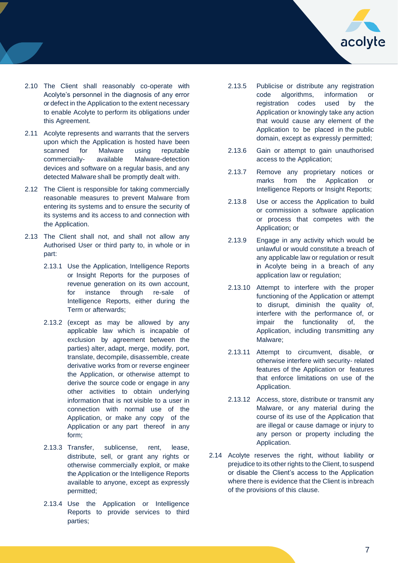

- 2.10 The Client shall reasonably co-operate with Acolyte's personnel in the diagnosis of any error or defect in the Application to the extent necessary to enable Acolyte to perform its obligations under this Agreement.
- 2.11 Acolyte represents and warrants that the servers upon which the Application is hosted have been scanned for Malware using reputable commercially- available Malware-detection devices and software on a regular basis, and any detected Malware shall be promptly dealt with.
- 2.12 The Client is responsible for taking commercially reasonable measures to prevent Malware from entering its systems and to ensure the security of its systems and its access to and connection with the Application.
- 2.13 The Client shall not, and shall not allow any Authorised User or third party to, in whole or in part:
	- 2.13.1 Use the Application, Intelligence Reports or Insight Reports for the purposes of revenue generation on its own account, for instance through re-sale of Intelligence Reports, either during the Term or afterwards;
	- 2.13.2 (except as may be allowed by any applicable law which is incapable of exclusion by agreement between the parties) alter, adapt, merge, modify, port, translate, decompile, disassemble, create derivative works from or reverse engineer the Application, or otherwise attempt to derive the source code or engage in any other activities to obtain underlying information that is not visible to a user in connection with normal use of the Application, or make any copy of the Application or any part thereof in any form;
	- 2.13.3 Transfer, sublicense, rent, lease, distribute, sell, or grant any rights or otherwise commercially exploit, or make the Application or the Intelligence Reports available to anyone, except as expressly permitted;
	- 2.13.4 Use the Application or Intelligence Reports to provide services to third parties;
- 2.13.5 Publicise or distribute any registration code algorithms, information or registration codes used by the Application or knowingly take any action that would cause any element of the Application to be placed in the public domain, except as expressly permitted;
- 2.13.6 Gain or attempt to gain unauthorised access to the Application;
- 2.13.7 Remove any proprietary notices or marks from the Application or Intelligence Reports or Insight Reports;
- 2.13.8 Use or access the Application to build or commission a software application or process that competes with the Application; or
- 2.13.9 Engage in any activity which would be unlawful or would constitute a breach of any applicable law or regulation or result in Acolyte being in a breach of any application law or regulation;
- 2.13.10 Attempt to interfere with the proper functioning of the Application or attempt to disrupt, diminish the quality of, interfere with the performance of, or impair the functionality of, the Application, including transmitting any Malware;
- 2.13.11 Attempt to circumvent, disable, or otherwise interfere with security- related features of the Application or features that enforce limitations on use of the Application.
- 2.13.12 Access, store, distribute or transmit any Malware, or any material during the course of its use of the Application that are illegal or cause damage or injury to any person or property including the Application.
- 2.14 Acolyte reserves the right, without liability or prejudice to its other rights to the Client, to suspend or disable the Client's access to the Application where there is evidence that the Client is inbreach of the provisions of this clause.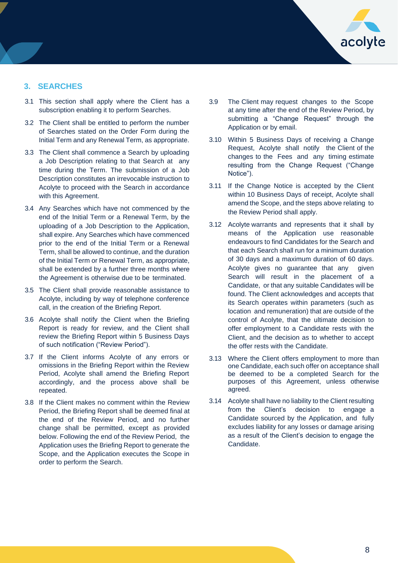

## **3. SEARCHES**

- 3.1 This section shall apply where the Client has a subscription enabling it to perform Searches.
- 3.2 The Client shall be entitled to perform the number of Searches stated on the Order Form during the Initial Term and any Renewal Term, as appropriate.
- 3.3 The Client shall commence a Search by uploading a Job Description relating to that Search at any time during the Term. The submission of a Job Description constitutes an irrevocable instruction to Acolyte to proceed with the Search in accordance with this Agreement.
- 3.4 Any Searches which have not commenced by the end of the Initial Term or a Renewal Term, by the uploading of a Job Description to the Application, shall expire. Any Searches which have commenced prior to the end of the Initial Term or a Renewal Term, shall be allowed to continue, and the duration of the Initial Term or Renewal Term, as appropriate, shall be extended by a further three months where the Agreement is otherwise due to be terminated.
- 3.5 The Client shall provide reasonable assistance to Acolyte, including by way of telephone conference call, in the creation of the Briefing Report.
- 3.6 Acolyte shall notify the Client when the Briefing Report is ready for review, and the Client shall review the Briefing Report within 5 Business Days of such notification ("Review Period").
- 3.7 If the Client informs Acolyte of any errors or omissions in the Briefing Report within the Review Period, Acolyte shall amend the Briefing Report accordingly, and the process above shall be repeated.
- 3.8 If the Client makes no comment within the Review Period, the Briefing Report shall be deemed final at the end of the Review Period, and no further change shall be permitted, except as provided below. Following the end of the Review Period, the Application uses the Briefing Report to generate the Scope, and the Application executes the Scope in order to perform the Search.
- 3.9 The Client may request changes to the Scope at any time after the end of the Review Period, by submitting a "Change Request" through the Application or by email.
- 3.10 Within 5 Business Days of receiving a Change Request, Acolyte shall notify the Client of the changes to the Fees and any timing estimate resulting from the Change Request ("Change Notice").
- 3.11 If the Change Notice is accepted by the Client within 10 Business Days of receipt, Acolyte shall amend the Scope, and the steps above relating to the Review Period shall apply.
- 3.12 Acolyte warrants and represents that it shall by means of the Application use reasonable endeavours to find Candidates for the Search and that each Search shall run for a minimum duration of 30 days and a maximum duration of 60 days. Acolyte gives no guarantee that any given Search will result in the placement of a Candidate, or that any suitable Candidates will be found. The Client acknowledges and accepts that its Search operates within parameters (such as location and remuneration) that are outside of the control of Acolyte, that the ultimate decision to offer employment to a Candidate rests with the Client, and the decision as to whether to accept the offer rests with the Candidate.
- 3.13 Where the Client offers employment to more than one Candidate, each such offer on acceptance shall be deemed to be a completed Search for the purposes of this Agreement, unless otherwise agreed.
- 3.14 Acolyte shall have no liability to the Client resulting from the Client's decision to engage a Candidate sourced by the Application, and fully excludes liability for any losses or damage arising as a result of the Client's decision to engage the Candidate.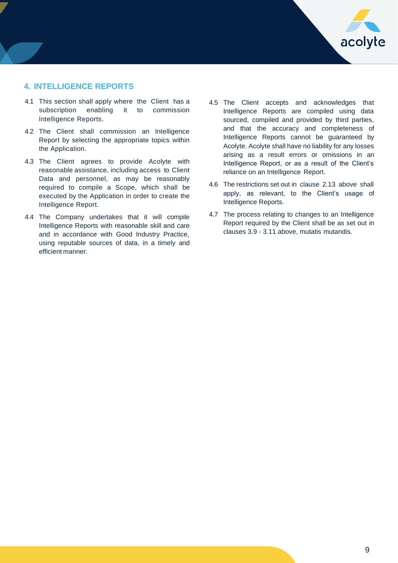

## **4. INTELLIGENCE REPORTS**

- 4.1 This section shall apply where the Client has a subscription enabling it to commission Intelligence Reports.
- 4.2 The Client shall commission an Intelligence Report by selecting the appropriate topics within the Application.
- 4.3 The Client agrees to provide Acolyte with reasonable assistance, including access to Client Data and personnel, as may be reasonably required to compile a Scope, which shall be executed by the Application in order to create the Intelligence Report.
- 4.4 The Company undertakes that it will compile Intelligence Reports with reasonable skill and care and in accordance with Good Industry Practice, using reputable sources of data, in a timely and efficient manner.
- 4.5 The Client accepts and acknowledges that Intelligence Reports are compiled using data sourced, compiled and provided by third parties, and that the accuracy and completeness of Intelligence Reports cannot be guaranteed by Acolyte. Acolyte shall have no liability for any losses arising as a result errors or omissions in an Intelligence Report, or as a result of the Client's reliance on an Intelligence Report.
- 4.6 The restrictions set out in clause 2.13 above shall apply, as relevant, to the Client's usage of Intelligence Reports.
- 4.7 The process relating to changes to an Intelligence Report required by the Client shall be as set out in clauses 3.9 - 3.11 above, mutatis mutandis.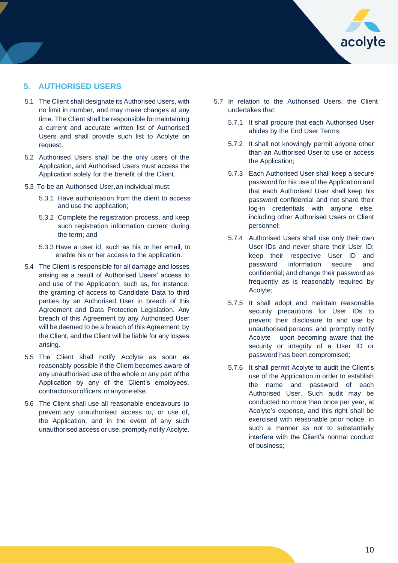

## **5. AUTHORISED USERS**

- 5.1 The Client shall designate its Authorised Users, with no limit in number, and may make changes at any time. The Client shall be responsible formaintaining a current and accurate written list of Authorised Users and shall provide such list to Acolyte on request.
- 5.2 Authorised Users shall be the only users of the Application, and Authorised Users must access the Application solely for the benefit of the Client.
- 5.3 To be an Authorised User,an individual must:
	- 5.3.1 Have authorisation from the client to access and use the application;
	- 5.3.2 Complete the registration process, and keep such registration information current during the term; and
	- 5.3.3 Have a user id, such as his or her email, to enable his or her access to the application.
- 5.4 The Client is responsible for all damage and losses arising as a result of Authorised Users' access to and use of the Application, such as, for instance, the granting of access to Candidate Data to third parties by an Authorised User in breach of this Agreement and Data Protection Legislation. Any breach of this Agreement by any Authorised User will be deemed to be a breach of this Agreement by the Client, and the Client will be liable for any losses arising.
- 5.5 The Client shall notify Acolyte as soon as reasonably possible if the Client becomes aware of any unauthorised use of the whole or any part of the Application by any of the Client's employees, contractors or officers, or anyone else.
- 5.6 The Client shall use all reasonable endeavours to prevent any unauthorised access to, or use of, the Application, and in the event of any such unauthorised access or use, promptly notify Acolyte.
- 5.7 In relation to the Authorised Users, the Client undertakes that:
	- 5.7.1 It shall procure that each Authorised User abides by the End User Terms;
	- 5.7.2 It shall not knowingly permit anyone other than an Authorised User to use or access the Application;
	- 5.7.3 Each Authorised User shall keep a secure password for his use of the Application and that each Authorised User shall keep his password confidential and not share their log-in credentials with anyone else, including other Authorised Users or Client personnel;
	- 5.7.4 Authorised Users shall use only their own User IDs and never share their User ID; keep their respective User ID and password information secure and confidential; and change their password as frequently as is reasonably required by Acolyte;
	- 5.7.5 It shall adopt and maintain reasonable security precautions for User IDs to prevent their disclosure to and use by unauthorised persons and promptly notify Acolyte upon becoming aware that the security or integrity of a User ID or password has been compromised;
	- 5.7.6 It shall permit Acolyte to audit the Client's use of the Application in order to establish the name and password of each Authorised User. Such audit may be conducted no more than once per year, at Acolyte's expense, and this right shall be exercised with reasonable prior notice, in such a manner as not to substantially interfere with the Client's normal conduct of business;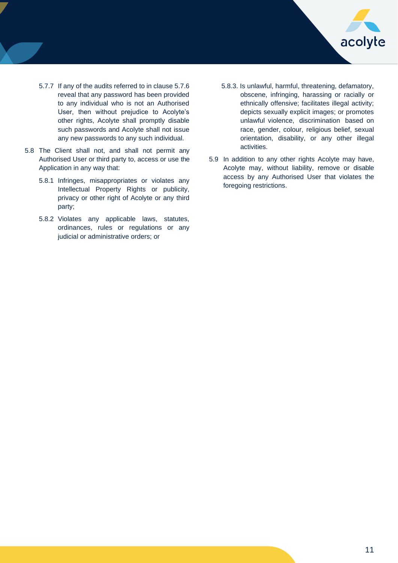

- 5.7.7 If any of the audits referred to in clause 5.7.6 reveal that any password has been provided to any individual who is not an Authorised User, then without prejudice to Acolyte's other rights, Acolyte shall promptly disable such passwords and Acolyte shall not issue any new passwords to any such individual.
- 5.8 The Client shall not, and shall not permit any Authorised User or third party to, access or use the Application in any way that:
	- 5.8.1 Infringes, misappropriates or violates any Intellectual Property Rights or publicity, privacy or other right of Acolyte or any third party;
	- 5.8.2 Violates any applicable laws, statutes, ordinances, rules or regulations or any judicial or administrative orders; or
- 5.8.3. Is unlawful, harmful, threatening, defamatory, obscene, infringing, harassing or racially or ethnically offensive; facilitates illegal activity; depicts sexually explicit images; or promotes unlawful violence, discrimination based on race, gender, colour, religious belief, sexual orientation, disability, or any other illegal activities.
- 5.9 In addition to any other rights Acolyte may have, Acolyte may, without liability, remove or disable access by any Authorised User that violates the foregoing restrictions.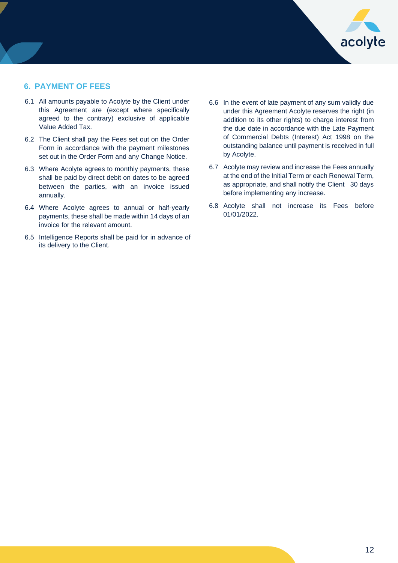

## **6. PAYMENT OF FEES**

- 6.1 All amounts payable to Acolyte by the Client under this Agreement are (except where specifically agreed to the contrary) exclusive of applicable Value Added Tax.
- 6.2 The Client shall pay the Fees set out on the Order Form in accordance with the payment milestones set out in the Order Form and any Change Notice.
- 6.3 Where Acolyte agrees to monthly payments, these shall be paid by direct debit on dates to be agreed between the parties, with an invoice issued annually.
- 6.4 Where Acolyte agrees to annual or half-yearly payments, these shall be made within 14 days of an invoice for the relevant amount.
- 6.5 Intelligence Reports shall be paid for in advance of its delivery to the Client.
- 6.6 In the event of late payment of any sum validly due under this Agreement Acolyte reserves the right (in addition to its other rights) to charge interest from the due date in accordance with the Late Payment of Commercial Debts (Interest) Act 1998 on the outstanding balance until payment is received in full by Acolyte.
- 6.7 Acolyte may review and increase the Fees annually at the end of the Initial Term or each Renewal Term, as appropriate, and shall notify the Client 30 days before implementing any increase.
- 6.8 Acolyte shall not increase its Fees before 01/01/2022.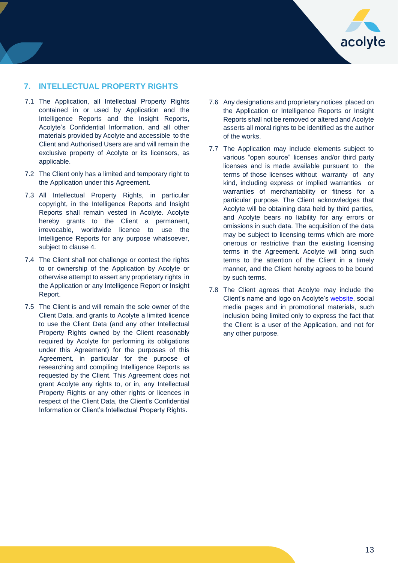

## **7. INTELLECTUAL PROPERTY RIGHTS**

- 7.1 The Application, all Intellectual Property Rights contained in or used by Application and the Intelligence Reports and the Insight Reports, Acolyte's Confidential Information, and all other materials provided by Acolyte and accessible to the Client and Authorised Users are and will remain the exclusive property of Acolyte or its licensors, as applicable.
- 7.2 The Client only has a limited and temporary right to the Application under this Agreement.
- 7.3 All Intellectual Property Rights, in particular copyright, in the Intelligence Reports and Insight Reports shall remain vested in Acolyte. Acolyte hereby grants to the Client a permanent, irrevocable, worldwide licence to use the Intelligence Reports for any purpose whatsoever, subject to clause 4.
- 7.4 The Client shall not challenge or contest the rights to or ownership of the Application by Acolyte or otherwise attempt to assert any proprietary rights in the Application or any Intelligence Report or Insight Report.
- 7.5 The Client is and will remain the sole owner of the Client Data, and grants to Acolyte a limited licence to use the Client Data (and any other Intellectual Property Rights owned by the Client reasonably required by Acolyte for performing its obligations under this Agreement) for the purposes of this Agreement, in particular for the purpose of researching and compiling Intelligence Reports as requested by the Client. This Agreement does not grant Acolyte any rights to, or in, any Intellectual Property Rights or any other rights or licences in respect of the Client Data, the Client's Confidential Information or Client's Intellectual Property Rights.
- 7.6 Any designations and proprietary notices placed on the Application or Intelligence Reports or Insight Reports shall not be removed or altered and Acolyte asserts all moral rights to be identified as the author of the works.
- 7.7 The Application may include elements subject to various "open source" licenses and/or third party licenses and is made available pursuant to the terms of those licenses without warranty of any kind, including express or implied warranties or warranties of merchantability or fitness for a particular purpose. The Client acknowledges that Acolyte will be obtaining data held by third parties, and Acolyte bears no liability for any errors or omissions in such data. The acquisition of the data may be subject to licensing terms which are more onerous or restrictive than the existing licensing terms in the Agreement. Acolyte will bring such terms to the attention of the Client in a timely manner, and the Client hereby agrees to be bound by such terms.
- 7.8 The Client agrees that Acolyte may include the Client's name and logo on Acolyte's [website,](http://www.acolytegroup.co.uk/) social media pages and in promotional materials, such inclusion being limited only to express the fact that the Client is a user of the Application, and not for any other purpose.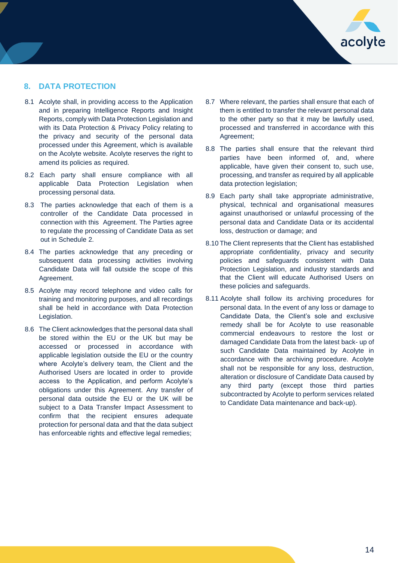

## **8. DATA PROTECTION**

- 8.1 Acolyte shall, in providing access to the Application and in preparing Intelligence Reports and Insight Reports, comply with Data Protection Legislation and with its Data Protection & Privacy Policy relating to the privacy and security of the personal data processed under this Agreement, which is available on the Acolyte website. Acolyte reserves the right to amend its policies as required.
- 8.2 Each party shall ensure compliance with all applicable Data Protection Legislation when processing personal data.
- 8.3 The parties acknowledge that each of them is a controller of the Candidate Data processed in connection with this Agreement. The Parties agree to regulate the processing of Candidate Data as set out in Schedule 2.
- 8.4 The parties acknowledge that any preceding or subsequent data processing activities involving Candidate Data will fall outside the scope of this Agreement.
- 8.5 Acolyte may record telephone and video calls for training and monitoring purposes, and all recordings shall be held in accordance with Data Protection Legislation.
- 8.6 The Client acknowledges that the personal data shall be stored within the EU or the UK but may be accessed or processed in accordance with applicable legislation outside the EU or the country where Acolyte's delivery team, the Client and the Authorised Users are located in order to provide access to the Application, and perform Acolyte's obligations under this Agreement. Any transfer of personal data outside the EU or the UK will be subject to a Data Transfer Impact Assessment to confirm that the recipient ensures adequate protection for personal data and that the data subject has enforceable rights and effective legal remedies;
- 8.7 Where relevant, the parties shall ensure that each of them is entitled to transfer the relevant personal data to the other party so that it may be lawfully used, processed and transferred in accordance with this Agreement;
- 8.8 The parties shall ensure that the relevant third parties have been informed of, and, where applicable, have given their consent to, such use, processing, and transfer as required by all applicable data protection legislation;
- 8.9 Each party shall take appropriate administrative, physical, technical and organisational measures against unauthorised or unlawful processing of the personal data and Candidate Data or its accidental loss, destruction or damage; and
- 8.10 The Client represents that the Client has established appropriate confidentiality, privacy and security policies and safeguards consistent with Data Protection Legislation, and industry standards and that the Client will educate Authorised Users on these policies and safeguards.
- 8.11 Acolyte shall follow its archiving procedures for personal data. In the event of any loss or damage to Candidate Data, the Client's sole and exclusive remedy shall be for Acolyte to use reasonable commercial endeavours to restore the lost or damaged Candidate Data from the latest back- up of such Candidate Data maintained by Acolyte in accordance with the archiving procedure. Acolyte shall not be responsible for any loss, destruction, alteration or disclosure of Candidate Data caused by any third party (except those third parties subcontracted by Acolyte to perform services related to Candidate Data maintenance and back-up).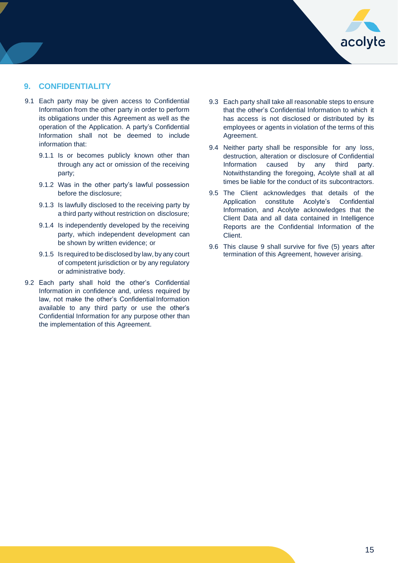

## **9. CONFIDENTIALITY**

- 9.1 Each party may be given access to Confidential Information from the other party in order to perform its obligations under this Agreement as well as the operation of the Application. A party's Confidential Information shall not be deemed to include information that:
	- 9.1.1 Is or becomes publicly known other than through any act or omission of the receiving party;
	- 9.1.2 Was in the other party's lawful possession before the disclosure;
	- 9.1.3 Is lawfully disclosed to the receiving party by a third party without restriction on disclosure;
	- 9.1.4 Is independently developed by the receiving party, which independent development can be shown by written evidence; or
	- 9.1.5 Is required to be disclosed by law, by any court of competent jurisdiction or by any regulatory or administrative body.
- 9.2 Each party shall hold the other's Confidential Information in confidence and, unless required by law, not make the other's Confidential Information available to any third party or use the other's Confidential Information for any purpose other than the implementation of this Agreement.
- 9.3 Each party shall take all reasonable steps to ensure that the other's Confidential Information to which it has access is not disclosed or distributed by its employees or agents in violation of the terms of this Agreement.
- 9.4 Neither party shall be responsible for any loss, destruction, alteration or disclosure of Confidential Information caused by any third party. Notwithstanding the foregoing, Acolyte shall at all times be liable for the conduct of its subcontractors.
- 9.5 The Client acknowledges that details of the Application constitute Acolyte's Confidential Information, and Acolyte acknowledges that the Client Data and all data contained in Intelligence Reports are the Confidential Information of the Client.
- 9.6 This clause 9 shall survive for five (5) years after termination of this Agreement, however arising.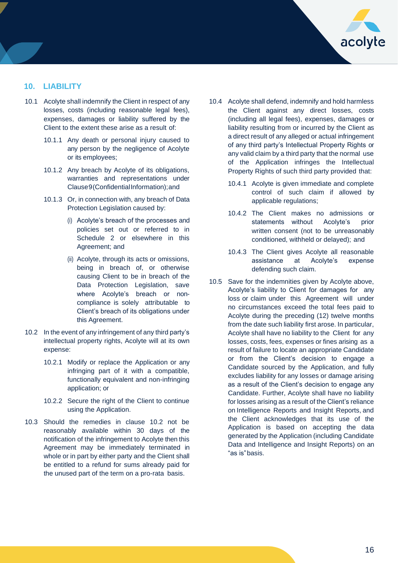

## **10. LIABILITY**

- 10.1 Acolyte shall indemnify the Client in respect of any losses, costs (including reasonable legal fees), expenses, damages or liability suffered by the Client to the extent these arise as a result of:
	- 10.1.1 Any death or personal injury caused to any person by the negligence of Acolyte or its employees;
	- 10.1.2 Any breach by Acolyte of its obligations, warranties and representations under Clause9(ConfidentialInformation);and
	- 10.1.3 Or, in connection with, any breach of Data Protection Legislation caused by:
		- (i) Acolyte's breach of the processes and policies set out or referred to in Schedule 2 or elsewhere in this Agreement; and
		- (ii) Acolyte, through its acts or omissions, being in breach of, or otherwise causing Client to be in breach of the Data Protection Legislation, save where Acolyte's breach or noncompliance is solely attributable to Client's breach of its obligations under this Agreement.
- 10.2 In the event of any infringement of any third party's intellectual property rights, Acolyte will at its own expense:
	- 10.2.1 Modify or replace the Application or any infringing part of it with a compatible, functionally equivalent and non-infringing application; or
	- 10.2.2 Secure the right of the Client to continue using the Application.
- 10.3 Should the remedies in clause 10.2 not be reasonably available within 30 days of the notification of the infringement to Acolyte then this Agreement may be immediately terminated in whole or in part by either party and the Client shall be entitled to a refund for sums already paid for the unused part of the term on a pro-rata basis.
- 10.4 Acolyte shall defend, indemnify and hold harmless the Client against any direct losses, costs (including all legal fees), expenses, damages or liability resulting from or incurred by the Client as a direct result of any alleged or actual infringement of any third party's Intellectual Property Rights or any valid claim by a third party that the normal use of the Application infringes the Intellectual Property Rights of such third party provided that:
	- 10.4.1 Acolyte is given immediate and complete control of such claim if allowed by applicable regulations;
	- 10.4.2 The Client makes no admissions or statements without Acolyte's prior written consent (not to be unreasonably conditioned, withheld or delayed); and
	- 10.4.3 The Client gives Acolyte all reasonable assistance at Acolyte's expense defending such claim.
- 10.5 Save for the indemnities given by Acolyte above, Acolyte's liability to Client for damages for any loss or claim under this Agreement will under no circumstances exceed the total fees paid to Acolyte during the preceding (12) twelve months from the date such liability first arose. In particular, Acolyte shall have no liability to the Client for any losses, costs, fees, expenses or fines arising as a result of failure to locate an appropriate Candidate or from the Client's decision to engage a Candidate sourced by the Application, and fully excludes liability for any losses or damage arising as a result of the Client's decision to engage any Candidate. Further, Acolyte shall have no liability for losses arising as a result of the Client's reliance on Intelligence Reports and Insight Reports, and the Client acknowledges that its use of the Application is based on accepting the data generated by the Application (including Candidate Data and Intelligence and Insight Reports) on an "as is"basis.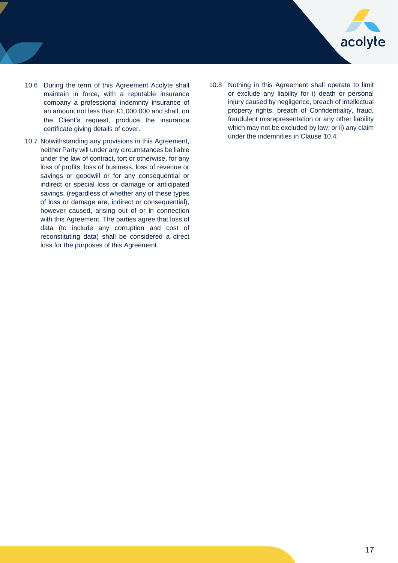

- 10.6 During the term of this Agreement Acolyte shall maintain in force, with a reputable insurance company a professional indemnity insurance of an amount not less than £1,000,000 and shall, on the Client's request, produce the insurance certificate giving details of cover.
- 10.7 Notwithstanding any provisions in this Agreement, neither Party will under any circumstances be liable under the law of contract, tort or otherwise, for any loss of profits, loss of business, loss of revenue or savings or goodwill or for any consequential or indirect or special loss or damage or anticipated savings, (regardless of whether any of these types of loss or damage are, indirect or consequential), however caused, arising out of or in connection with this Agreement. The parties agree that loss of data (to include any corruption and cost of reconstituting data) shall be considered a direct loss for the purposes of this Agreement.
- 10.8 Nothing in this Agreement shall operate to limit or exclude any liability for i) death or personal injury caused by negligence, breach of intellectual property rights, breach of Confidentiality, fraud, fraudulent misrepresentation or any other liability which may not be excluded by law; or ii) any claim under the indemnities in Clause 10.4.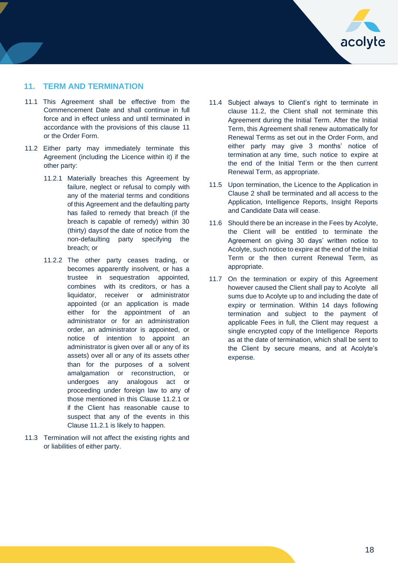

## **11. TERM AND TERMINATION**

- 11.1 This Agreement shall be effective from the Commencement Date and shall continue in full force and in effect unless and until terminated in accordance with the provisions of this clause 11 or the Order Form.
- 11.2 Either party may immediately terminate this Agreement (including the Licence within it) if the other party:
	- 11.2.1 Materially breaches this Agreement by failure, neglect or refusal to comply with any of the material terms and conditions of this Agreement and the defaulting party has failed to remedy that breach (if the breach is capable of remedy) within 30 (thirty) daysof the date of notice from the non-defaulting party specifying the breach; or
	- 11.2.2 The other party ceases trading, or becomes apparently insolvent, or has a trustee in sequestration appointed, combines with its creditors, or has a liquidator, receiver or administrator appointed (or an application is made either for the appointment of an administrator or for an administration order, an administrator is appointed, or notice of intention to appoint an administrator is given over all or any of its assets) over all or any of its assets other than for the purposes of a solvent amalgamation or reconstruction, or undergoes any analogous act or proceeding under foreign law to any of those mentioned in this Clause 11.2.1 or if the Client has reasonable cause to suspect that any of the events in this Clause 11.2.1 is likely to happen.
- 11.3 Termination will not affect the existing rights and or liabilities of either party.
- 11.4 Subject always to Client's right to terminate in clause 11.2, the Client shall not terminate this Agreement during the Initial Term. After the Initial Term, this Agreement shall renew automatically for Renewal Terms as set out in the Order Form, and either party may give 3 months' notice of termination at any time, such notice to expire at the end of the Initial Term or the then current Renewal Term, as appropriate.
- 11.5 Upon termination, the Licence to the Application in Clause 2 shall be terminated and all access to the Application, Intelligence Reports, Insight Reports and Candidate Data will cease.
- 11.6 Should there be an increase in the Fees by Acolyte, the Client will be entitled to terminate the Agreement on giving 30 days' written notice to Acolyte, such notice to expire at the end of the Initial Term or the then current Renewal Term, as appropriate.
- 11.7 On the termination or expiry of this Agreement however caused the Client shall pay to Acolyte all sums due to Acolyte up to and including the date of expiry or termination. Within 14 days following termination and subject to the payment of applicable Fees in full, the Client may request a single encrypted copy of the Intelligence Reports as at the date of termination, which shall be sent to the Client by secure means, and at Acolyte's expense.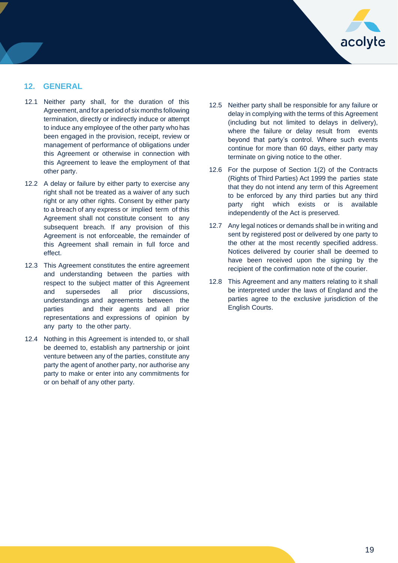

## **12. GENERAL**

- 12.1 Neither party shall, for the duration of this Agreement, and for a period of six months following termination, directly or indirectly induce or attempt to induce any employee of the other party who has been engaged in the provision, receipt, review or management of performance of obligations under this Agreement or otherwise in connection with this Agreement to leave the employment of that other party.
- 12.2 A delay or failure by either party to exercise any right shall not be treated as a waiver of any such right or any other rights. Consent by either party to a breach of any express or implied term of this Agreement shall not constitute consent to any subsequent breach. If any provision of this Agreement is not enforceable, the remainder of this Agreement shall remain in full force and effect.
- 12.3 This Agreement constitutes the entire agreement and understanding between the parties with respect to the subject matter of this Agreement and supersedes all prior discussions, understandings and agreements between the parties and their agents and all prior representations and expressions of opinion by any party to the other party.
- 12.4 Nothing in this Agreement is intended to, or shall be deemed to, establish any partnership or joint venture between any of the parties, constitute any party the agent of another party, nor authorise any party to make or enter into any commitments for or on behalf of any other party.
- 12.5 Neither party shall be responsible for any failure or delay in complying with the terms of this Agreement (including but not limited to delays in delivery), where the failure or delay result from events beyond that party's control. Where such events continue for more than 60 days, either party may terminate on giving notice to the other.
- 12.6 For the purpose of Section 1(2) of the Contracts (Rights of Third Parties) Act 1999 the parties state that they do not intend any term of this Agreement to be enforced by any third parties but any third party right which exists or is available independently of the Act is preserved.
- 12.7 Any legal notices or demands shall be in writing and sent by registered post or delivered by one party to the other at the most recently specified address. Notices delivered by courier shall be deemed to have been received upon the signing by the recipient of the confirmation note of the courier.
- 12.8 This Agreement and any matters relating to it shall be interpreted under the laws of England and the parties agree to the exclusive jurisdiction of the English Courts.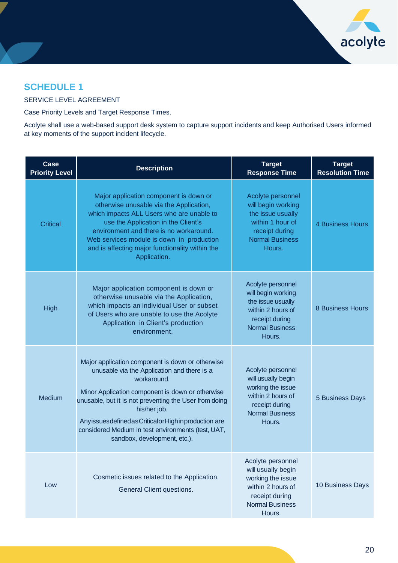

# **SCHEDULE 1**

### SERVICE LEVEL AGREEMENT

Case Priority Levels and Target Response Times.

Acolyte shall use a web-based support desk system to capture support incidents and keep Authorised Users informed at key moments of the support incident lifecycle.

| Case<br><b>Priority Level</b> | <b>Description</b>                                                                                                                                                                                                                                                                                                                                                                             | <b>Target</b><br><b>Response Time</b>                                                                                                   | <b>Target</b><br><b>Resolution Time</b> |
|-------------------------------|------------------------------------------------------------------------------------------------------------------------------------------------------------------------------------------------------------------------------------------------------------------------------------------------------------------------------------------------------------------------------------------------|-----------------------------------------------------------------------------------------------------------------------------------------|-----------------------------------------|
| <b>Critical</b>               | Major application component is down or<br>otherwise unusable via the Application,<br>which impacts ALL Users who are unable to<br>use the Application in the Client's<br>environment and there is no workaround.<br>Web services module is down in production<br>and is affecting major functionality within the<br>Application.                                                               | Acolyte personnel<br>will begin working<br>the issue usually<br>within 1 hour of<br>receipt during<br><b>Normal Business</b><br>Hours.  | <b>4 Business Hours</b>                 |
| <b>High</b>                   | Major application component is down or<br>otherwise unusable via the Application,<br>which impacts an individual User or subset<br>of Users who are unable to use the Acolyte<br>Application in Client's production<br>environment.                                                                                                                                                            | Acolyte personnel<br>will begin working<br>the issue usually<br>within 2 hours of<br>receipt during<br><b>Normal Business</b><br>Hours. | 8 Business Hours                        |
| Medium                        | Major application component is down or otherwise<br>unusable via the Application and there is a<br>workaround.<br>Minor Application component is down or otherwise<br>unusable, but it is not preventing the User from doing<br>his/her job.<br>Any issues defined as Critical or High in production are<br>considered Medium in test environments (test, UAT,<br>sandbox, development, etc.). | Acolyte personnel<br>will usually begin<br>working the issue<br>within 2 hours of<br>receipt during<br><b>Normal Business</b><br>Hours. | 5 Business Days                         |
| Low                           | Cosmetic issues related to the Application.<br>General Client questions.                                                                                                                                                                                                                                                                                                                       | Acolyte personnel<br>will usually begin<br>working the issue<br>within 2 hours of<br>receipt during<br><b>Normal Business</b><br>Hours. | 10 Business Days                        |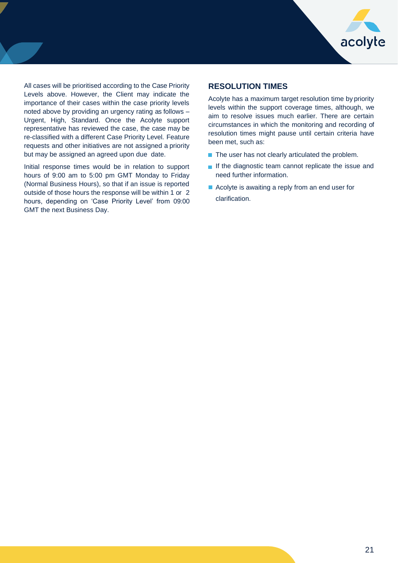

All cases will be prioritised according to the Case Priority Levels above. However, the Client may indicate the importance of their cases within the case priority levels noted above by providing an urgency rating as follows – Urgent, High, Standard. Once the Acolyte support representative has reviewed the case, the case may be re-classified with a different Case Priority Level. Feature requests and other initiatives are not assigned a priority but may be assigned an agreed upon due date.

Initial response times would be in relation to support hours of 9:00 am to 5:00 pm GMT Monday to Friday (Normal Business Hours), so that if an issue is reported outside of those hours the response will be within 1 or 2 hours, depending on 'Case Priority Level' from 09:00 GMT the next Business Day.

## **RESOLUTION TIMES**

Acolyte has a maximum target resolution time by priority levels within the support coverage times, although, we aim to resolve issues much earlier. There are certain circumstances in which the monitoring and recording of resolution times might pause until certain criteria have been met, such as:

- $\blacksquare$  The user has not clearly articulated the problem.
- If the diagnostic team cannot replicate the issue and need further information.
- Acolyte is awaiting a reply from an end user for clarification.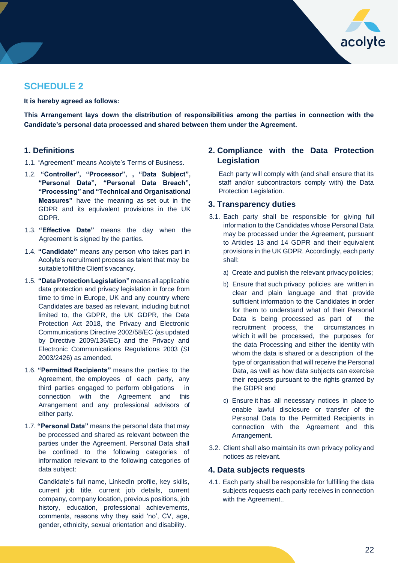

## **SCHEDULE 2**

**It is hereby agreed as follows:**

**This Arrangement lays down the distribution of responsibilities among the parties in connection with the Candidate's personal data processed and shared between them under the Agreement.**

## **1. Definitions**

- 1.1. "Agreement" means Acolyte's Terms of Business.
- 1.2. **"Controller", "Processor", , "Data Subject", "Personal Data", "Personal Data Breach", "Processing" and "Technical and Organisational Measures"** have the meaning as set out in the GDPR and its equivalent provisions in the UK GDPR.
- 1.3. **"Effective Date"** means the day when the Agreement is signed by the parties.
- 1.4. **"Candidate"** means any person who takes part in Acolyte's recruitment process as talent that may be suitable to fill the Client's vacancy.
- 1.5. **"DataProtection Legislation"** means all applicable data protection and privacy legislation in force from time to time in Europe, UK and any country where Candidates are based as relevant, including but not limited to, the GDPR, the UK GDPR, the Data Protection Act 2018, the Privacy and Electronic Communications Directive 2002/58/EC (as updated by Directive 2009/136/EC) and the Privacy and Electronic Communications Regulations 2003 (SI 2003/2426) as amended.
- 1.6. **"Permitted Recipients"** means the parties to the Agreement, the employees of each party, any third parties engaged to perform obligations in connection with the Agreement and this Arrangement and any professional advisors of either party.
- 1.7. **"Personal Data"** means the personal data that may be processed and shared as relevant between the parties under the Agreement. Personal Data shall be confined to the following categories of information relevant to the following categories of data subject:

Candidate's full name, LinkedIn profile, key skills, current job title, current job details, current company, company location, previous positions, job history, education, professional achievements, comments, reasons why they said 'no', CV, age, gender, ethnicity, sexual orientation and disability.

## **2. Compliance with the Data Protection Legislation**

Each party will comply with (and shall ensure that its staff and/or subcontractors comply with) the Data Protection Legislation.

## **3. Transparency duties**

- 3.1. Each party shall be responsible for giving full information to the Candidates whose Personal Data may be processed under the Agreement, pursuant to Articles 13 and 14 GDPR and their equivalent provisions in the UK GDPR. Accordingly, each party shall:
	- a) Create and publish the relevant privacy policies;
	- b) Ensure that such privacy policies are written in clear and plain language and that provide sufficient information to the Candidates in order for them to understand what of their Personal Data is being processed as part of the recruitment process, the circumstances in which it will be processed, the purposes for the data Processing and either the identity with whom the data is shared or a description of the type of organisation that will receive the Personal Data, as well as how data subjects can exercise their requests pursuant to the rights granted by the GDPR and
	- c) Ensure it has all necessary notices in place to enable lawful disclosure or transfer of the Personal Data to the Permitted Recipients in connection with the Agreement and this Arrangement.
- 3.2. Client shall also maintain its own privacy policy and notices as relevant.

#### **4. Data subjects requests**

4.1. Each party shall be responsible for fulfilling the data subjects requests each party receives in connection with the Agreement..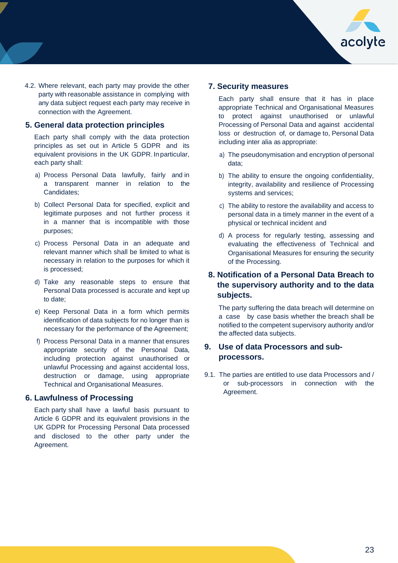

4.2. Where relevant, each party may provide the other party with reasonable assistance in complying with any data subject request each party may receive in connection with the Agreement.

## **5. General data protection principles**

Each party shall comply with the data protection principles as set out in Article 5 GDPR and its equivalent provisions in the UK GDPR. In particular, each party shall:

- a) Process Personal Data lawfully, fairly and in a transparent manner in relation to the Candidates;
- b) Collect Personal Data for specified, explicit and legitimate purposes and not further process it in a manner that is incompatible with those purposes;
- c) Process Personal Data in an adequate and relevant manner which shall be limited to what is necessary in relation to the purposes for which it is processed;
- d) Take any reasonable steps to ensure that Personal Data processed is accurate and kept up to date;
- e) Keep Personal Data in a form which permits identification of data subjects for no longer than is necessary for the performance of the Agreement;
- f) Process Personal Data in a manner that ensures appropriate security of the Personal Data, including protection against unauthorised or unlawful Processing and against accidental loss, destruction or damage, using appropriate Technical and Organisational Measures.

#### **6. Lawfulness of Processing**

Each party shall have a lawful basis pursuant to Article 6 GDPR and its equivalent provisions in the UK GDPR for Processing Personal Data processed and disclosed to the other party under the Agreement.

## **7. Security measures**

Each party shall ensure that it has in place appropriate Technical and Organisational Measures to protect against unauthorised or unlawful Processing of Personal Data and against accidental loss or destruction of, or damage to, Personal Data including inter alia as appropriate:

- a) The pseudonymisation and encryption of personal data;
- b) The ability to ensure the ongoing confidentiality, integrity, availability and resilience of Processing systems and services;
- c) The ability to restore the availability and access to personal data in a timely manner in the event of a physical or technical incident and
- d) A process for regularly testing, assessing and evaluating the effectiveness of Technical and Organisational Measures for ensuring the security of the Processing.

## **8. Notification of a Personal Data Breach to the supervisory authority and to the data subjects.**

The party suffering the data breach will determine on a case by case basis whether the breach shall be notified to the competent supervisory authority and/or the affected data subjects.

## **9. Use of data Processors and subprocessors.**

9.1. The parties are entitled to use data Processors and / or sub-processors in connection with the Agreement.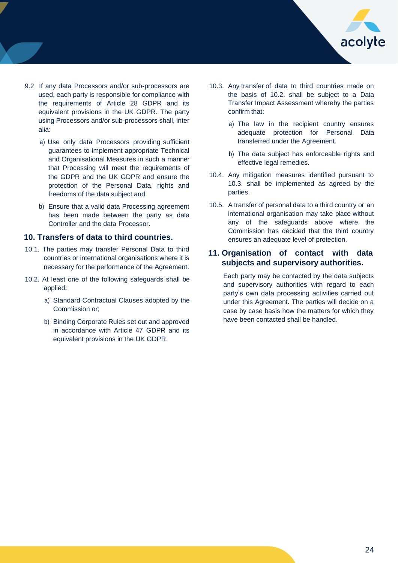

- 9.2 If any data Processors and/or sub-processors are used, each party is responsible for compliance with the requirements of Article 28 GDPR and its equivalent provisions in the UK GDPR. The party using Processors and/or sub-processors shall, inter alia:
	- a) Use only data Processors providing sufficient guarantees to implement appropriate Technical and Organisational Measures in such a manner that Processing will meet the requirements of the GDPR and the UK GDPR and ensure the protection of the Personal Data, rights and freedoms of the data subject and
	- b) Ensure that a valid data Processing agreement has been made between the party as data Controller and the data Processor.

## **10. Transfers of data to third countries.**

- 10.1. The parties may transfer Personal Data to third countries or international organisations where it is necessary for the performance of the Agreement.
- 10.2. At least one of the following safeguards shall be applied:
	- a) Standard Contractual Clauses adopted by the Commission or;
	- b) Binding Corporate Rules set out and approved in accordance with Article 47 GDPR and its equivalent provisions in the UK GDPR.
- 10.3. Any transfer of data to third countries made on the basis of 10.2. shall be subject to a Data Transfer Impact Assessment whereby the parties confirm that:
	- a) The law in the recipient country ensures adequate protection for Personal Data transferred under the Agreement.
	- b) The data subject has enforceable rights and effective legal remedies.
- 10.4. Any mitigation measures identified pursuant to 10.3. shall be implemented as agreed by the parties.
- 10.5. A transfer of personal data to a third country or an international organisation may take place without any of the safeguards above where the Commission has decided that the third country ensures an adequate level of protection.

## **11. Organisation of contact with data subjects and supervisory authorities.**

Each party may be contacted by the data subjects and supervisory authorities with regard to each party's own data processing activities carried out under this Agreement. The parties will decide on a case by case basis how the matters for which they have been contacted shall be handled.